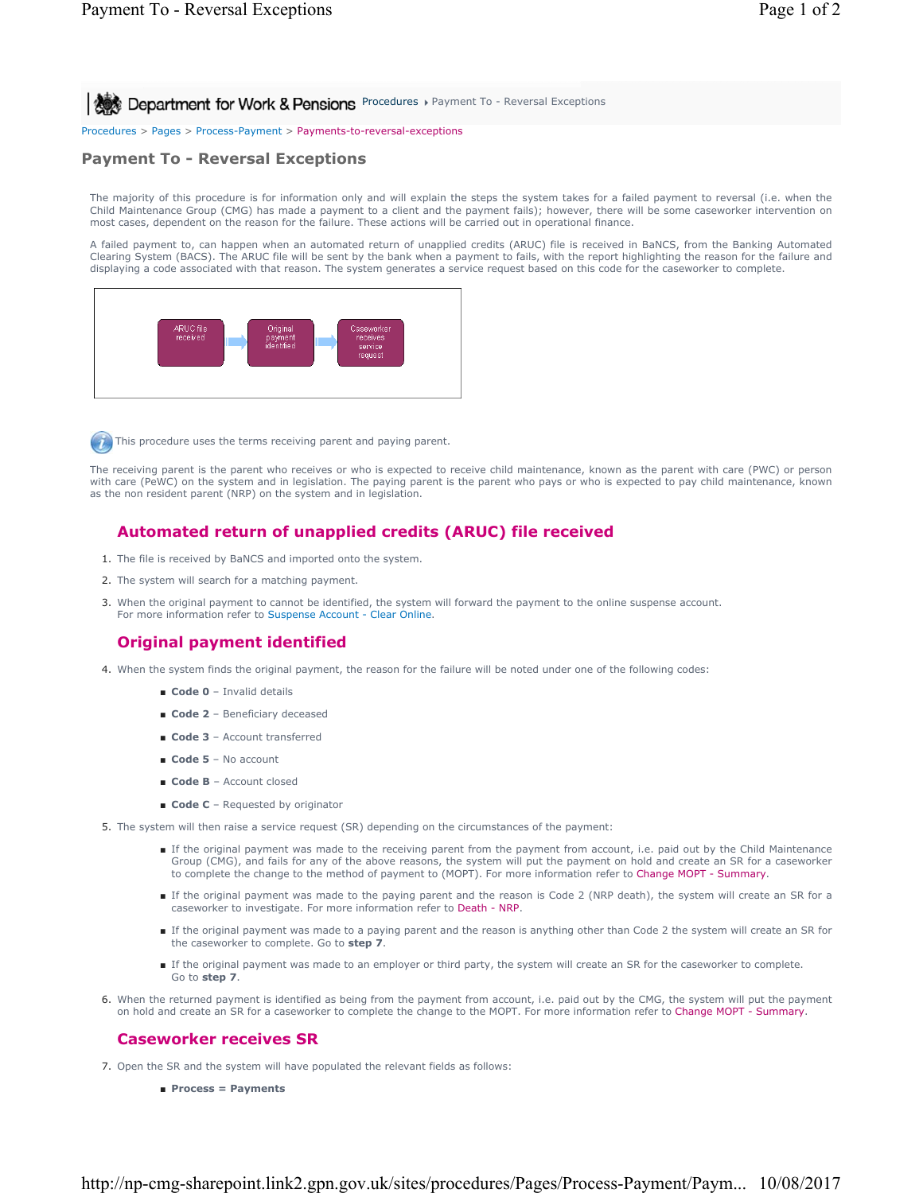**All Act Department for Work & Pensions** Procedures > Payment To - Reversal Exceptions

Procedures > Pages > Process-Payment > Payments-to-reversal-exceptions

# **Payment To - Reversal Exceptions**

The majority of this procedure is for information only and will explain the steps the system takes for a failed payment to reversal (i.e. when the Child Maintenance Group (CMG) has made a payment to a client and the payment fails); however, there will be some caseworker intervention on most cases, dependent on the reason for the failure. These actions will be carried out in operational finance.

A failed payment to, can happen when an automated return of unapplied credits (ARUC) file is received in BaNCS, from the Banking Automated Clearing System (BACS). The ARUC file will be sent by the bank when a payment to fails, with the report highlighting the reason for the failure and displaying a code associated with that reason. The system generates a service request based on this code for the caseworker to complete.





This procedure uses the terms receiving parent and paying parent.

The receiving parent is the parent who receives or who is expected to receive child maintenance, known as the parent with care (PWC) or person with care (PeWC) on the system and in legislation. The paying parent is the parent who pays or who is expected to pay child maintenance, known as the non resident parent (NRP) on the system and in legislation.

## **Automated return of unapplied credits (ARUC) file received**

- 1. The file is received by BaNCS and imported onto the system.
- 2. The system will search for a matching payment.
- 3. When the original payment to cannot be identified, the system will forward the payment to the online suspense account. For more information refer to Suspense Account - Clear Online.

### **Original payment identified**

- 4. When the system finds the original payment, the reason for the failure will be noted under one of the following codes:
	- **Code 0** Invalid details
	- **Code 2** Beneficiary deceased
	- **Code 3** Account transferred
	- **Code 5** No account
	- **Code B** Account closed
	- **Code C** Requested by originator
- 5. The system will then raise a service request (SR) depending on the circumstances of the payment:
	- If the original payment was made to the receiving parent from the payment from account, i.e. paid out by the Child Maintenance Group (CMG), and fails for any of the above reasons, the system will put the payment on hold and create an SR for a caseworker to complete the change to the method of payment to (MOPT). For more information refer to Change MOPT - Summary.
	- If the original payment was made to the paying parent and the reason is Code 2 (NRP death), the system will create an SR for a caseworker to investigate. For more information refer to Death - NRP.
	- If the original payment was made to a paying parent and the reason is anything other than Code 2 the system will create an SR for the caseworker to complete. Go to **step 7**.
	- If the original payment was made to an employer or third party, the system will create an SR for the caseworker to complete. Go to **step 7**.
- 6. When the returned payment is identified as being from the payment from account, i.e. paid out by the CMG, the system will put the payment on hold and create an SR for a caseworker to complete the change to the MOPT. For more information refer to Change MOPT - Summary.

#### **Caseworker receives SR**

- 7. Open the SR and the system will have populated the relevant fields as follows:
	- **Process = Payments**